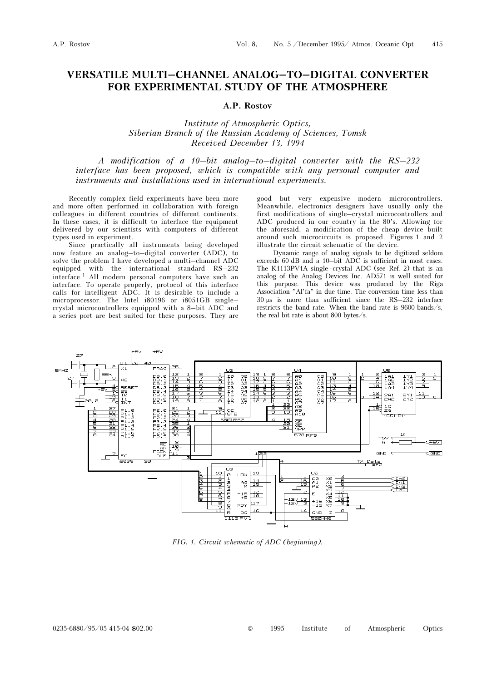## VERSATILE MULTI–CHANNEL ANALOG–TO–DIGITAL CONVERTER FOR EXPERIMENTAL STUDY OF THE ATMOSPHERE

## A.P. Rostov

Institute of Atmospheric Optics, Siberian Branch of the Russian Academy of Sciences, Tomsk Received December 13, 1994

A modification of a 10–bit analog–to–digital converter with the RS–232 interface has been proposed, which is compatible with any personal computer and instruments and installations used in international experiments.

Recently complex field experiments have been more and more often performed in collaboration with foreign colleagues in different countries of different continents. In these cases, it is difficult to interface the equipment delivered by our scientists with computers of different types used in experiment.

Since practically all instruments being developed now feature an analog–to–digital converter (ADC), to solve the problem I have developed a multi–channel ADC equipped with the international standard RS–232 interface.1 All modern personal computers have such an interface. To operate properly, protocol of this interface calls for intelligent ADC. It is desirable to include a microprocessor. The Intel i80196 or i8051GB single– crystal microcontrollers equipped with a 8–bit ADC and a series port are best suited for these purposes. They are

good but very expensive modern microcontrollers. Meanwhile, electronics designers have usually only the first modifications of single–crystal microcontrollers and ADC produced in our country in the 80's. Allowing for the aforesaid, a modification of the cheap device built around such microcircuits is proposed. Figures 1 and 2 illustrate the circuit schematic of the device.

Dynamic range of analog signals to be digitized seldom exceeds 60 dB and a 10–bit ADC is sufficient in most cases. The K1113PV1A single–crystal ADC (see Ref. 2) that is an analog of the Analog Devices Inc. AD571 is well suited for this purpose. This device was produced by the Riga Association "Al'fa" in due time. The conversion time less than 30 μs is more than sufficient since the RS–232 interface restricts the band rate. When the band rate is 9600 bands/s, the real bit rate is about 800 bytes/s.



FIG. 1. Circuit schematic of ADC (beginning).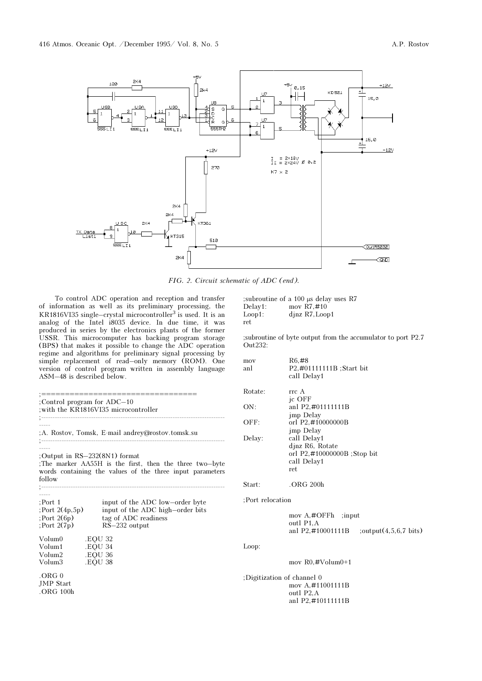

FIG. 2. Circuit schematic of ADC (end).

To control ADC operation and reception and transfer of information as well as its preliminary processing, the KR1816VI35 single–crystal microcontroller<sup>3</sup> is used. It is an analog of the Intel i8035 device. In due time, it was produced in series by the electronics plants of the former USSR. This microcomputer has backing program storage (BPS) that makes it possible to change the ADC operation regime and algorithms for preliminary signal processing by simple replacement of read–only memory (ROM). One version of control program written in assembly language ASM–48 is described below.

|                                                       | ;==================================                                                                                                                 |
|-------------------------------------------------------|-----------------------------------------------------------------------------------------------------------------------------------------------------|
|                                                       | Control program for ADC-10<br>; with the KR1816VI35 microcontroller                                                                                 |
|                                                       | A. Rostov, Tomsk, E-mail andrey@rostov.tomsk.su;                                                                                                    |
| follow                                                | Output in RS-232(8N1) format<br>The marker AA55H is the first, then the three two-byte<br>words containing the values of the three input parameters |
| :Port 1<br>(Port 2(4p,5p)<br>(8p)<br>$:$ Port $2(7p)$ | input of the ADC low-order byte<br>input of the ADC high-order bits<br>tag of ADC readiness<br>$RS-232$ output                                      |
| Volum0<br>Volum1<br>Volum2<br>Volum3                  | <b>EOU 32</b><br><b>.EOU 34</b><br>.EOU 36<br>.EOU 38                                                                                               |
| .ORG <sub>0</sub><br>JMP Start<br>. ORG 100h          |                                                                                                                                                     |

; subroutine of a 100  $\mu$ s delay uses R7<br>Delay1: mov R7,#10 Delay1: mov R7,#10<br>Loop1: djnz R7,Loop djnz R7,Loop1 ret

;subroutine of byte output from the accumulator to port P2.7 Out232:

| mov<br>anl | R6.#8<br>P2,#01111111B ; Start bit<br>call Delay1 |
|------------|---------------------------------------------------|
| Rotate:    | rrc A                                             |
|            | ic OFF                                            |
| ON:        | anl P2,#01111111B                                 |
|            | imp Delay                                         |
| OFF:       | orl P2,#10000000B                                 |
|            | imp Delay                                         |
| Delay:     | call Delay1                                       |
|            | djnz R <sub>6</sub> , Rotate                      |
|            | orl P2,#10000000B ;Stop bit                       |
|            | call Delay1                                       |
|            | ret.                                              |
|            |                                                   |

Start: .ORG 200h

## ;Port relocation

| mov $A$ ,#OFFh; input   |                                  |
|-------------------------|----------------------------------|
| outl P <sub>1</sub> , A |                                  |
| anl P2.#10001111B       | : $output(4,5,6,7 \text{ bits})$ |

Loop:

mov R0,#Volum0+1

;Digitization of channel 0 mov A,#11001111B outl P2,A anl P2,#10111111B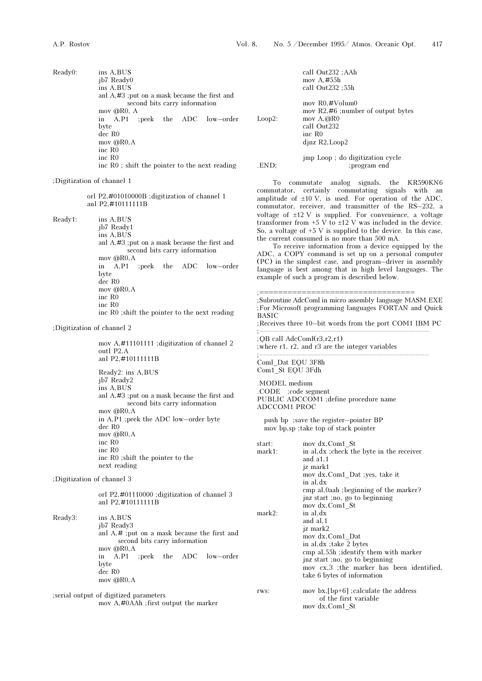Ready0: ins A,BUS jb7 Ready0 ins A,BUS anl A,#3 ;put on a mask because the first and second bits carry information mov @R0, A in A,P1 ;peek the ADC low–order byte dec R0 mov @R0,A inc R0 inc R0 inc R0 ; shift the pointer to the next reading

;Digitization of channel 1

 orl P2,#01010000B ;digitization of channel 1 anl P2,#10111111B

Ready1: ins A,BUS

 jb7 Ready1 ins A,BUS anl A,#3 ;put on a mask because the first and second bits carry information mov @R0,A in A,P1 ;peek the ADC low–order byte dec R0 mov @R0,A inc R0 inc R0 inc R0 ;shift the pointer to the next reading

;Digitization of channel 2

 mov A,#11101111 ;digitization of channel 2 outl P2,A anl P2,#10111111B Ready2: ins A,BUS jb7 Ready2 ins A,BUS anl A,#3 ;put on a mask because the first and second bits carry information mov @R0,A in A,P1 ;peek the ADC low–order byte dec R0 mov @R0,A inc R0 inc R0 inc R0 ;shift the pointer to the next reading

;Digitization of channel 3

 orl P2,#01110000 ;digitization of channel 3 anl P2,#10111111B

Ready3: ins A,BUS jb7 Ready3 anl A,# ;put on a mask because the first and second bits carry information mov @R0,A in A,P1 ;peek the ADC low–order byte dec R0 mov @R0,A

;serial output of digitized parameters mov A,#0AAh ;first output the marker

 call Out232 ;AAh mov A,#55h call Out232 ;55h

 mov R0,#Volum0 mov R2,#6 ;number of output bytes Loop2: mov A, @R0 call Out232 inc R0 djnz R2,Loop2

jmp Loop ; do digitization cycle<br>FND:  $\frac{1}{2}$ : program end : program end

To commutate analog signals, the KR590KN6 commutator, certainly commutating signals with an amplitude of  $\pm 10$  V, is used. For operation of the ADC, commutator, receiver, and transmitter of the RS–232, a voltage of ±12 V is supplied. For convenience, a voltage transformer from  $+5$  V to  $\pm 12$  V was included in the device. So, a voltage of  $+5$  V is supplied to the device. In this case, the current consumed is no more than 500 mA.

To receive information from a device equipped by the ADC, a COPY command is set up on a personal computer (PC) in the simplest case, and program–driver in assembly language is best among that in high level languages. The example of such a program is described below.

```
;================================= 
;Subroutine AdcComl in micro assembly language MASM.EXE 
;For Microsoft programming languages FORTAN and Quick 
BASIC 
;Receives three 10–bit words from the port COM1 IBM PC 
;--------------------------------------------------------------------------- 
;QB call AdcComl(r3,r2,r1) 
;where r1, r2, and r3 are the integer variables 
;--------------------------------------------------------------------------- 
Coml_Dat EQU 3F8h 
Com<sub>1</sub> St EQU 3Fdh
.MODEL medium 
.CODE ;code segment 
PUBLIC ADCCOM1 ;define procedure name 
ADCCOM1 PROC 
   push bp ;save the register–pointer BP 
   mov bp,sp ;take top of stack pointer 
start: mov dx, Com1_St
mark1: in al,dx ; check the byte in the receiver
               and a1,1 
               jz mark1 
               mov dx,Com1_Dat ;yes, take it 
               in al,dx 
               cmp al,0aah ;beginning of the marker? 
               jnz start ;no, go to beginning 
               mov dx,Com1_St 
mark2: in al,dx
               and al,1 
               jz mark2 
 mov dx,Com1_Dat 
 in al,dx ;take 2 bytes 
               cmp al,55h ;identify them with marker 
               jnz start ;no, go to beginning 
               mov cx,3 ;the marker has been identified, 
               take 6 bytes of information 
rws: mov bx, [bp+6] ; calculate the address
                    of the first variable 
               mov dx,Com1_St
```